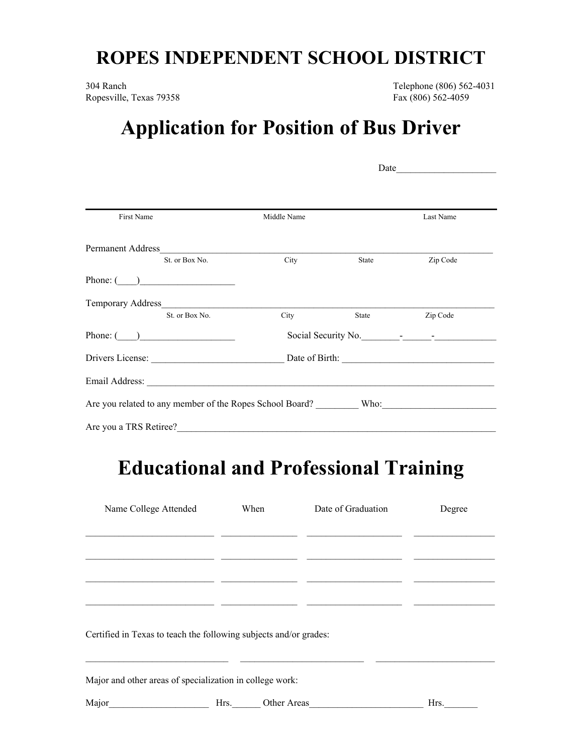## **ROPES INDEPENDENT SCHOOL DISTRICT**

304 Ranch Telephone (806) 562-4031 Ropesville, Texas 79358 Fax (806) 562-4059

## **Application for Position of Bus Driver**

|                        |             | Date                                   |           |  |  |  |
|------------------------|-------------|----------------------------------------|-----------|--|--|--|
| First Name             | Middle Name |                                        | Last Name |  |  |  |
|                        |             |                                        |           |  |  |  |
|                        |             |                                        |           |  |  |  |
| St. or Box No.         | <b>City</b> | State                                  | Zip Code  |  |  |  |
| Phone: $\qquad \qquad$ |             |                                        |           |  |  |  |
|                        |             |                                        |           |  |  |  |
| St. or Box No.         | City        | State                                  | Zip Code  |  |  |  |
| Phone: $\qquad \qquad$ |             | Social Security No.                    |           |  |  |  |
|                        |             | Drivers License: <u>Date</u> of Birth: |           |  |  |  |
|                        |             |                                        |           |  |  |  |
|                        |             |                                        |           |  |  |  |
| Are you a TRS Retiree? |             |                                        |           |  |  |  |

## **Educational and Professional Training**

| Name College Attended                                             | When | Date of Graduation | Degree |
|-------------------------------------------------------------------|------|--------------------|--------|
|                                                                   |      |                    |        |
|                                                                   |      |                    |        |
|                                                                   |      |                    |        |
|                                                                   |      |                    |        |
| Certified in Texas to teach the following subjects and/or grades: |      |                    |        |
|                                                                   |      |                    |        |
| Major and other areas of specialization in college work:          |      |                    |        |
| Major                                                             | Hrs. | Other Areas        | Hrs.   |